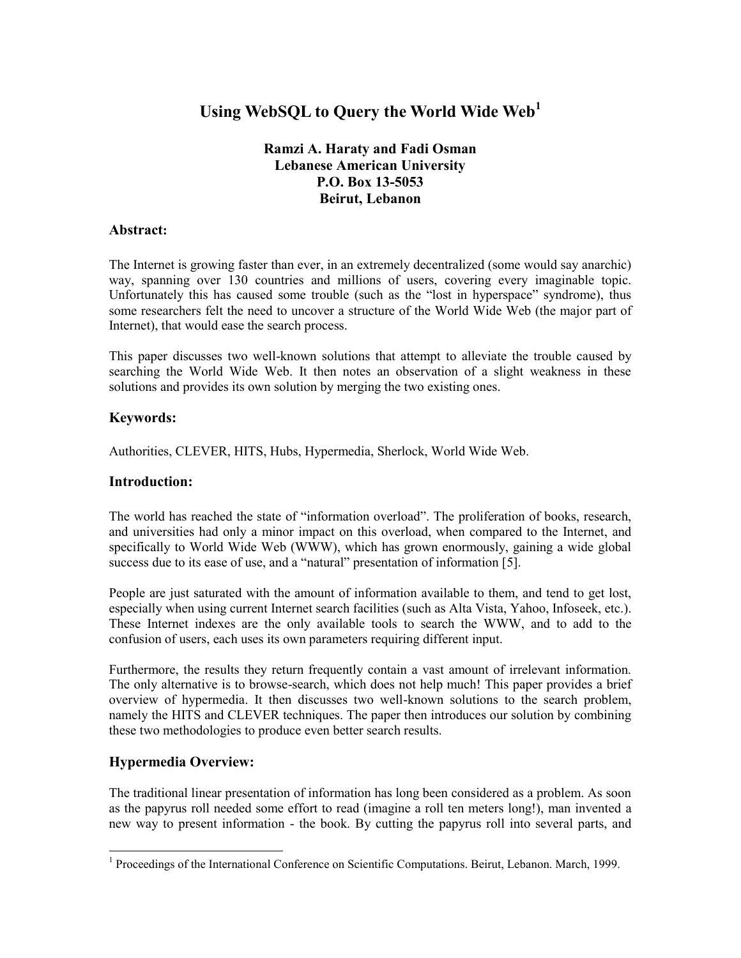# **Using WebSQL to Query the World Wide Web<sup>1</sup>**

# **Ramzi A. Haraty and Fadi Osman Lebanese American University P.O. Box 13-5053 Beirut, Lebanon**

#### **Abstract:**

The Internet is growing faster than ever, in an extremely decentralized (some would say anarchic) way, spanning over 130 countries and millions of users, covering every imaginable topic. Unfortunately this has caused some trouble (such as the "lost in hyperspace" syndrome), thus some researchers felt the need to uncover a structure of the World Wide Web (the major part of Internet), that would ease the search process.

This paper discusses two well-known solutions that attempt to alleviate the trouble caused by searching the World Wide Web. It then notes an observation of a slight weakness in these solutions and provides its own solution by merging the two existing ones.

#### **Keywords:**

Authorities, CLEVER, HITS, Hubs, Hypermedia, Sherlock, World Wide Web.

#### **Introduction:**

The world has reached the state of "information overload". The proliferation of books, research, and universities had only a minor impact on this overload, when compared to the Internet, and specifically to World Wide Web (WWW), which has grown enormously, gaining a wide global success due to its ease of use, and a "natural" presentation of information [5].

People are just saturated with the amount of information available to them, and tend to get lost, especially when using current Internet search facilities (such as Alta Vista, Yahoo, Infoseek, etc.). These Internet indexes are the only available tools to search the WWW, and to add to the confusion of users, each uses its own parameters requiring different input.

Furthermore, the results they return frequently contain a vast amount of irrelevant information. The only alternative is to browse-search, which does not help much! This paper provides a brief overview of hypermedia. It then discusses two well-known solutions to the search problem, namely the HITS and CLEVER techniques. The paper then introduces our solution by combining these two methodologies to produce even better search results.

# **Hypermedia Overview:**

l

The traditional linear presentation of information has long been considered as a problem. As soon as the papyrus roll needed some effort to read (imagine a roll ten meters long!), man invented a new way to present information - the book. By cutting the papyrus roll into several parts, and

<sup>&</sup>lt;sup>1</sup> Proceedings of the International Conference on Scientific Computations. Beirut, Lebanon. March, 1999.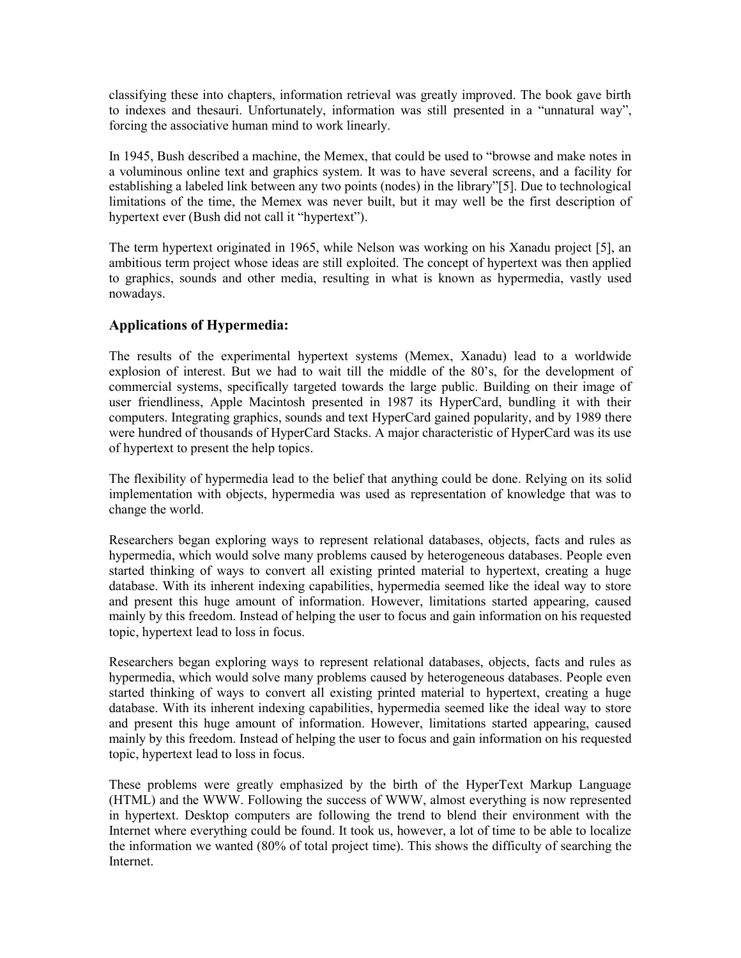classifying these into chapters, information retrieval was greatly improved. The book gave birth to indexes and thesauri. Unfortunately, information was still presented in a "unnatural way", forcing the associative human mind to work linearly.

In 1945, Bush described a machine, the Memex, that could be used to "browse and make notes in a voluminous online text and graphics system. It was to have several screens, and a facility for establishing a labeled link between any two points (nodes) in the library"[5]. Due to technological limitations of the time, the Memex was never built, but it may well be the first description of hypertext ever (Bush did not call it "hypertext").

The term hypertext originated in 1965, while Nelson was working on his Xanadu project [5], an ambitious term project whose ideas are still exploited. The concept of hypertext was then applied to graphics, sounds and other media, resulting in what is known as hypermedia, vastly used nowadays.

# **Applications of Hypermedia:**

The results of the experimental hypertext systems (Memex, Xanadu) lead to a worldwide explosion of interest. But we had to wait till the middle of the 80's, for the development of commercial systems, specifically targeted towards the large public. Building on their image of user friendliness, Apple Macintosh presented in 1987 its HyperCard, bundling it with their computers. Integrating graphics, sounds and text HyperCard gained popularity, and by 1989 there were hundred of thousands of HyperCard Stacks. A major characteristic of HyperCard was its use of hypertext to present the help topics.

The flexibility of hypermedia lead to the belief that anything could be done. Relying on its solid implementation with objects, hypermedia was used as representation of knowledge that was to change the world.

Researchers began exploring ways to represent relational databases, objects, facts and rules as hypermedia, which would solve many problems caused by heterogeneous databases. People even started thinking of ways to convert all existing printed material to hypertext, creating a huge database. With its inherent indexing capabilities, hypermedia seemed like the ideal way to store and present this huge amount of information. However, limitations started appearing, caused mainly by this freedom. Instead of helping the user to focus and gain information on his requested topic, hypertext lead to loss in focus.

Researchers began exploring ways to represent relational databases, objects, facts and rules as hypermedia, which would solve many problems caused by heterogeneous databases. People even started thinking of ways to convert all existing printed material to hypertext, creating a huge database. With its inherent indexing capabilities, hypermedia seemed like the ideal way to store and present this huge amount of information. However, limitations started appearing, caused mainly by this freedom. Instead of helping the user to focus and gain information on his requested topic, hypertext lead to loss in focus.

These problems were greatly emphasized by the birth of the HyperText Markup Language (HTML) and the WWW. Following the success of WWW, almost everything is now represented in hypertext. Desktop computers are following the trend to blend their environment with the Internet where everything could be found. It took us, however, a lot of time to be able to localize the information we wanted (80% of total project time). This shows the difficulty of searching the **Internet**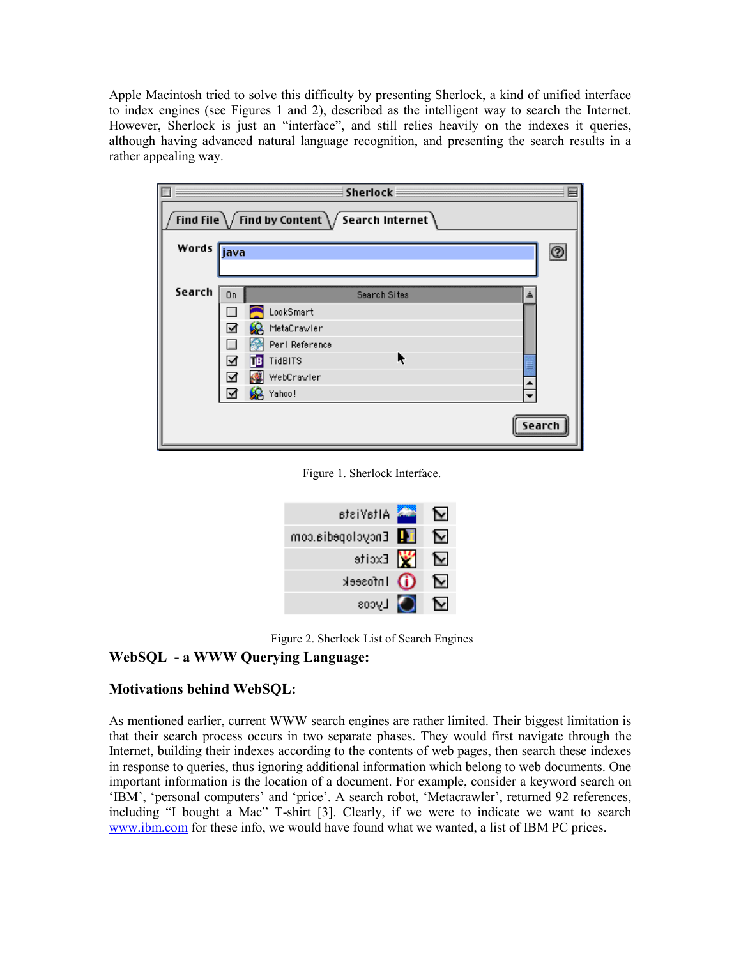Apple Macintosh tried to solve this difficulty by presenting Sherlock, a kind of unified interface to index engines (see Figures 1 and 2), described as the intelligent way to search the Internet. However, Sherlock is just an "interface", and still relies heavily on the indexes it queries, although having advanced natural language recognition, and presenting the search results in a rather appealing way.

| Sherlock<br>Ħ                                                                 |                          |        |  |  |
|-------------------------------------------------------------------------------|--------------------------|--------|--|--|
| Find File $\setminus$ Find by Content $\setminus$ Search Internet $\setminus$ |                          |        |  |  |
| Words <i>j</i> ava                                                            |                          | C      |  |  |
|                                                                               |                          |        |  |  |
| Search                                                                        | Search Sites<br>On       | 흐      |  |  |
|                                                                               | LookSmart                |        |  |  |
|                                                                               | MetaCrawler<br>Σ         |        |  |  |
|                                                                               | Perl Reference           |        |  |  |
|                                                                               | ĸ<br>TidBITS<br>Ν<br>ĪТB |        |  |  |
|                                                                               | WebCrawler<br>⊻          |        |  |  |
|                                                                               | Yahoo!<br>⊻              |        |  |  |
|                                                                               |                          |        |  |  |
|                                                                               |                          | Search |  |  |
|                                                                               |                          |        |  |  |

Figure 1. Sherlock Interface.

| AltaVista           |     |   |
|---------------------|-----|---|
| Encyclopedia.com    | ļ T | м |
| $\mathbf{y}$ Excite |     | ◡ |
| Infoseek            |     |   |
| Lycos               |     |   |

Figure 2. Sherlock List of Search Engines

# **WebSQL - a WWW Querying Language:**

# **Motivations behind WebSQL:**

As mentioned earlier, current WWW search engines are rather limited. Their biggest limitation is that their search process occurs in two separate phases. They would first navigate through the Internet, building their indexes according to the contents of web pages, then search these indexes in response to queries, thus ignoring additional information which belong to web documents. One important information is the location of a document. For example, consider a keyword search on 'IBM', 'personal computers' and 'price'. A search robot, 'Metacrawler', returned 92 references, including "I bought a Mac" T-shirt [3]. Clearly, if we were to indicate we want to search [www.ibm.com](http://www.ibm.com/) for these info, we would have found what we wanted, a list of IBM PC prices.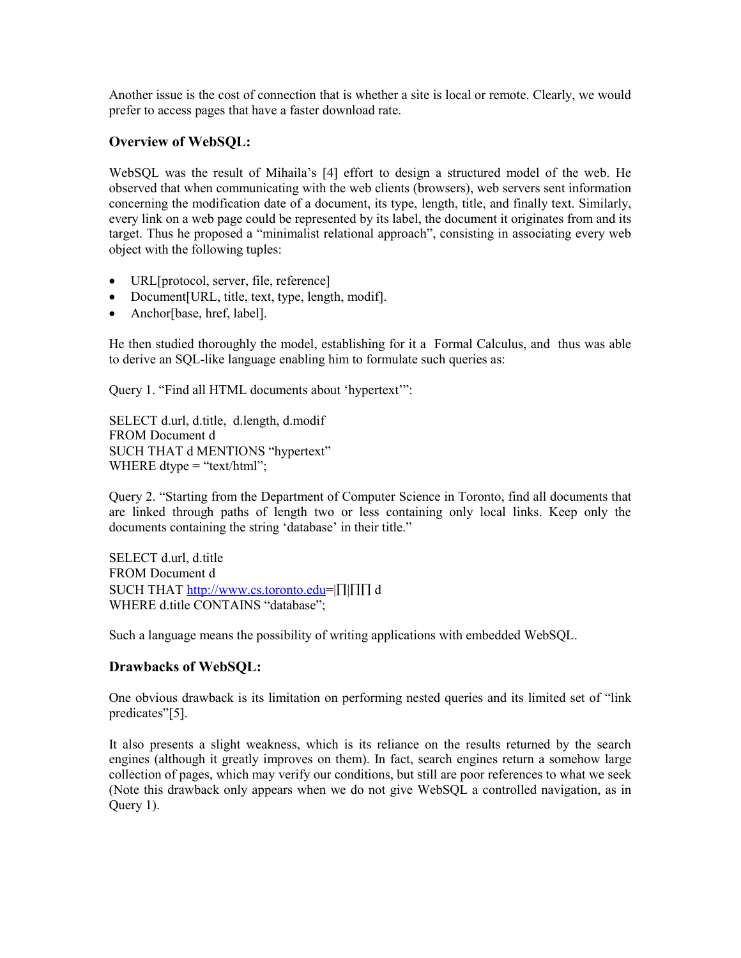Another issue is the cost of connection that is whether a site is local or remote. Clearly, we would prefer to access pages that have a faster download rate.

#### **Overview of WebSQL:**

WebSQL was the result of Mihaila's [4] effort to design a structured model of the web. He observed that when communicating with the web clients (browsers), web servers sent information concerning the modification date of a document, its type, length, title, and finally text. Similarly, every link on a web page could be represented by its label, the document it originates from and its target. Thus he proposed a "minimalist relational approach", consisting in associating every web object with the following tuples:

- URL[protocol, server, file, reference]
- Document [URL, title, text, type, length, modif].
- Anchor[base, href, label].

He then studied thoroughly the model, establishing for it a Formal Calculus, and thus was able to derive an SQL-like language enabling him to formulate such queries as:

Query 1. "Find all HTML documents about 'hypertext'":

SELECT d.url, d.title, d.length, d.modif FROM Document d SUCH THAT d MENTIONS "hypertext" WHERE dtype  $=$  "text/html";

Query 2. "Starting from the Department of Computer Science in Toronto, find all documents that are linked through paths of length two or less containing only local links. Keep only the documents containing the string 'database' in their title."

SELECT d.url, d.title FROM Document d SUCH THAT [http://www.cs.toronto.edu=](http://www.cs.toronto.edu/)| $\prod$ | $\prod$  d WHERE d.title CONTAINS "database";

Such a language means the possibility of writing applications with embedded WebSQL.

# **Drawbacks of WebSQL:**

One obvious drawback is its limitation on performing nested queries and its limited set of "link predicates"[5].

It also presents a slight weakness, which is its reliance on the results returned by the search engines (although it greatly improves on them). In fact, search engines return a somehow large collection of pages, which may verify our conditions, but still are poor references to what we seek (Note this drawback only appears when we do not give WebSQL a controlled navigation, as in Query 1).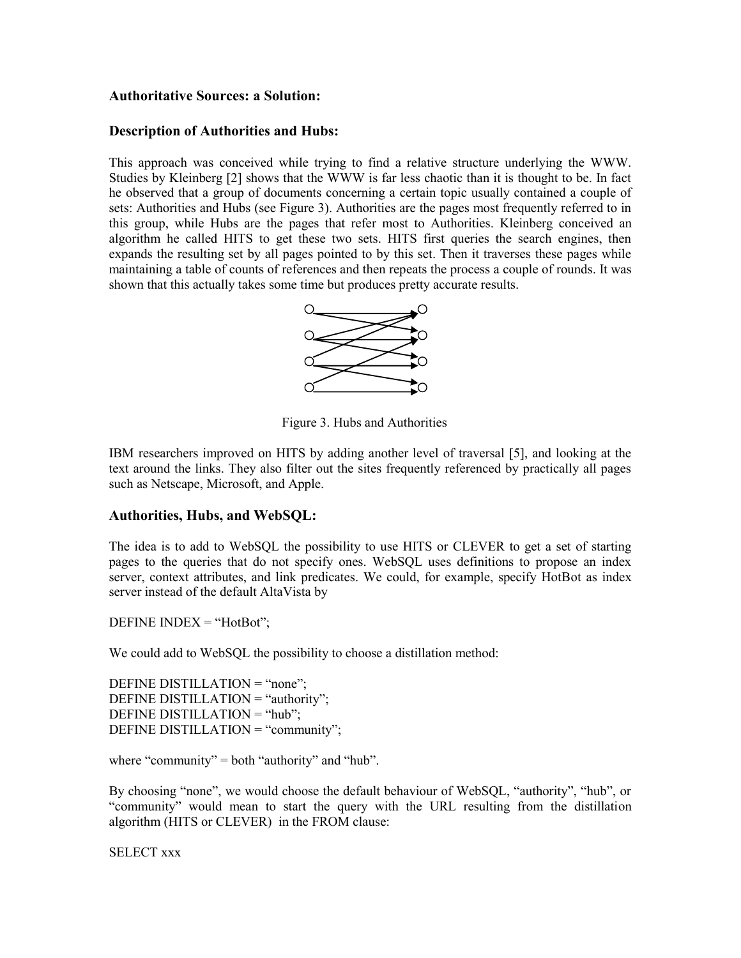#### **Authoritative Sources: a Solution:**

#### **Description of Authorities and Hubs:**

This approach was conceived while trying to find a relative structure underlying the WWW. Studies by Kleinberg [2] shows that the WWW is far less chaotic than it is thought to be. In fact he observed that a group of documents concerning a certain topic usually contained a couple of sets: Authorities and Hubs (see Figure 3). Authorities are the pages most frequently referred to in this group, while Hubs are the pages that refer most to Authorities. Kleinberg conceived an algorithm he called HITS to get these two sets. HITS first queries the search engines, then expands the resulting set by all pages pointed to by this set. Then it traverses these pages while maintaining a table of counts of references and then repeats the process a couple of rounds. It was shown that this actually takes some time but produces pretty accurate results.



Figure 3. Hubs and Authorities

IBM researchers improved on HITS by adding another level of traversal [5], and looking at the text around the links. They also filter out the sites frequently referenced by practically all pages such as Netscape, Microsoft, and Apple.

#### **Authorities, Hubs, and WebSQL:**

The idea is to add to WebSQL the possibility to use HITS or CLEVER to get a set of starting pages to the queries that do not specify ones. WebSQL uses definitions to propose an index server, context attributes, and link predicates. We could, for example, specify HotBot as index server instead of the default AltaVista by

DEFINE INDEX  $=$  "HotBot";

We could add to WebSQL the possibility to choose a distillation method:

DEFINE DISTILLATION = "none"; DEFINE DISTILLATION = "authority"; DEFINE DISTILLATION = "hub"; DEFINE DISTILLATION = "community";

where "community" = both "authority" and "hub".

By choosing "none", we would choose the default behaviour of WebSQL, "authority", "hub", or "community" would mean to start the query with the URL resulting from the distillation algorithm (HITS or CLEVER) in the FROM clause:

SELECT xxx